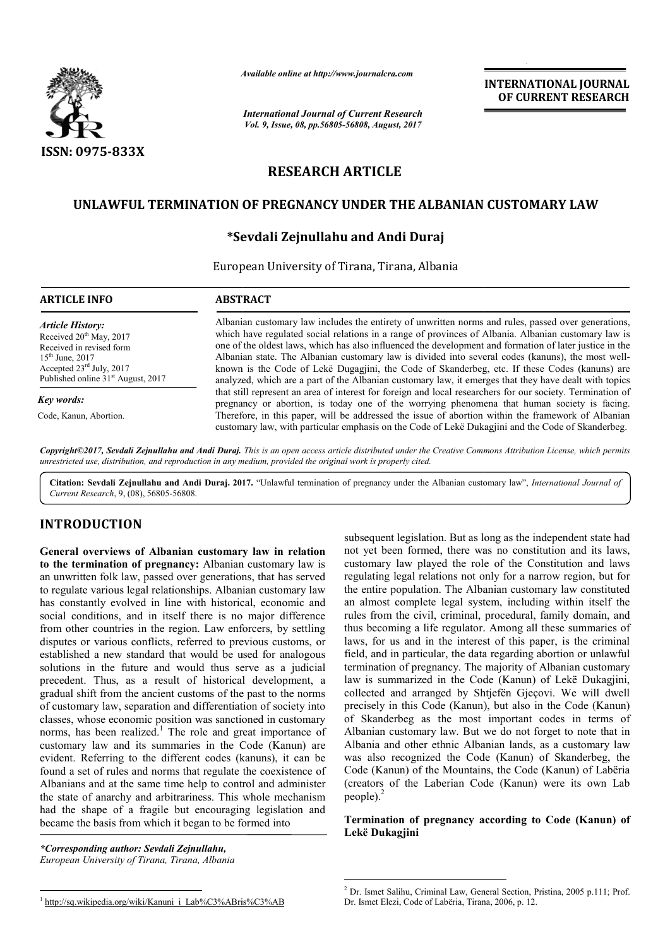

*Available online at http://www.journal http://www.journalcra.com*

*International Journal of Current Research Vol. 9, Issue, 08, pp.56805-56808, August, 2017* **INTERNATIONAL JOURNAL OF CURRENT RESEARCH** 

# **RESEARCH ARTICLE**

## **UNLAWFUL TERMINATION OF PREGNANCY UNDER THE ALBANIAN CUSTOMARY LAW**

# **\*Sevdali Zejnullahu Sevdali and Andi Duraj**

European University of Tirana, Tirana, Albania

| <b>ARTICLE INFO</b>                                                                                                                                                                                          | <b>ABSTRACT</b>                                                                                                                                                                                                                                                                                                                                                                                                                                                                                                                                                                                                                                                                                                                                                                                                                                                                                                                                                                                                                                              |
|--------------------------------------------------------------------------------------------------------------------------------------------------------------------------------------------------------------|--------------------------------------------------------------------------------------------------------------------------------------------------------------------------------------------------------------------------------------------------------------------------------------------------------------------------------------------------------------------------------------------------------------------------------------------------------------------------------------------------------------------------------------------------------------------------------------------------------------------------------------------------------------------------------------------------------------------------------------------------------------------------------------------------------------------------------------------------------------------------------------------------------------------------------------------------------------------------------------------------------------------------------------------------------------|
| <b>Article History:</b><br>Received 20 <sup>th</sup> May, 2017<br>Received in revised form<br>$15^{th}$ June, 2017<br>Accepted $23^{\text{rd}}$ July, 2017<br>Published online 31 <sup>st</sup> August, 2017 | Albanian customary law includes the entirety of unwritten norms and rules, passed over generations,<br>which have regulated social relations in a range of provinces of Albania. Albanian customary law is<br>one of the oldest laws, which has also influenced the development and formation of later justice in the<br>Albanian state. The Albanian customary law is divided into several codes (kanuns), the most well-<br>known is the Code of Leke Dugagiini, the Code of Skanderbeg, etc. If these Codes (kanuns) are<br>analyzed, which are a part of the Albanian customary law, it emerges that they have dealt with topics<br>that still represent an area of interest for foreign and local researchers for our society. Termination of<br>pregnancy or abortion, is today one of the worrying phenomena that human society is facing.<br>Therefore, in this paper, will be addressed the issue of abortion within the framework of Albanian<br>customary law, with particular emphasis on the Code of Lekë Dukagjini and the Code of Skanderbeg. |
| Key words:                                                                                                                                                                                                   |                                                                                                                                                                                                                                                                                                                                                                                                                                                                                                                                                                                                                                                                                                                                                                                                                                                                                                                                                                                                                                                              |
| Code, Kanun, Abortion.                                                                                                                                                                                       |                                                                                                                                                                                                                                                                                                                                                                                                                                                                                                                                                                                                                                                                                                                                                                                                                                                                                                                                                                                                                                                              |

*Copyright©2017, Sevdali Zejnullahu and Andi Duraj. . This is an open access article distributed under the Creative Commons Att Creative Attribution License, which permits unrestricted use, distribution, and reproduction in any medium, provided the original work is properly cited.*

Citation: Sevdali Zejnullahu and Andi Duraj. 2017. "Unlawful termination of pregnancy under the Albanian customary law", *International Journal of Current Research*, 9, (08), 56805-56808.

## **INTRODUCTION**

**General overviews of Albanian customary law in relation to the termination of pregnancy:** Albanian customary law is an unwritten folk law, passed over generations, that has served to regulate various legal relationships. Albanian customary law has constantly evolved in line with historical, economic and social conditions, and in itself there is no major difference from other countries in the region. Law enforcers, by settling disputes or various conflicts, referred to previous customs, or established a new standard that would be used for analogous solutions in the future and would thus serve as a judicial precedent. Thus, as a result of historical development, a gradual shift from the ancient customs of the past to the norms of customary law, separation and differentiation of society into classes, whose economic position was sanctioned in customary norms, has been realized.<sup>1</sup> The role and great importance of customary law and its summaries in the Code (Kanun) are evident. Referring to the different codes (kanuns), it can be found a set of rules and norms that regulate the coexistence of Albanians and at the same time help to control and administer the state of anarchy and arbitrariness. This whole mechanism had the shape of a fragile but encouraging legislation and became the basis from which it began to be formed into

*\*Corresponding author: Sevdali Zejnullahu, European University of Tirana, Tirana, Albania*

**erviews of Albanian customary law in relation** subsequent legislation. But as long as the independent state had<br>institute in figure and the state in the state in the contained state and folk law, passed over generations, not yet been formed, there was no constitution and its laws, customary law played the role of the Constitution and laws regulating legal relations not only for a narrow region, but for the entire population. The Albanian customary law constituted an almost complete legal system, including within itself the rules from the civil, criminal, procedural, family domain, and thus becoming a life regulator. Among all these summaries of laws, for us and in the interest of this paper, is the criminal field, and in particular, the data regarding abortion or unlawful termination of pregnancy. The majority of Albanian customary law is summarized in the Code (Kanun) of Lekë Dukagjini, collected and arranged by Shtjefën Gjeçovi. We will dwell precisely in this Code (Kanun), but also in the Code (Kanun) of Skanderbeg as the most important codes in terms of Albanian customary law. But we do not forget to note that in Albania and other ethnic Albanian lands, as a customary was also recognized the Code (Kanun) of Skanderbeg, the Code (Kanun) of the Mountains, the Code (Kanun) of Labëria (creators of the Laberian Code (Kanun) were its own Lab  $people)$ . ent legislation. But as long as the independent state had been formed, there was no constitution and its laws, ry law played the role of the Constitution and laws region, but for e population. The Albanian customary law co in Code (Kanun), but also in the Code (Kanun)<br>Skanderbeg as the most important codes in terms of<br>anian customary law. But we do not forget to note that in<br>ania and other ethnic Albanian lands, as a customary law **INTERNATIONAL JOURNAL CONFORT IS CONFORT THE CONFORT INTERNATIONAL JOURNAL CONFORT TRESEARCH CONFORT TRESEARCH CONFORT TRESEARCH CONFORT THE ALBANIAN CUSTOMARY LAW and Andi Duraj and Salison of the Compact of the Conform** 

### **Termination of pregnancy according to Code (Kanun) of Lekë Dukagjini**

 <sup>2</sup> Dr. Ismet Salihu, Criminal Law, General Section, Pristina, 2005 p.111; Prof. Dr. Ismet Elezi, Code of Labëria, Tirana, 2006, p. 12.

<sup>&</sup>lt;sup>1</sup> http://sq.wikipedia.org/wiki/Kanuni\_i\_Lab%C3%ABris%C3%AB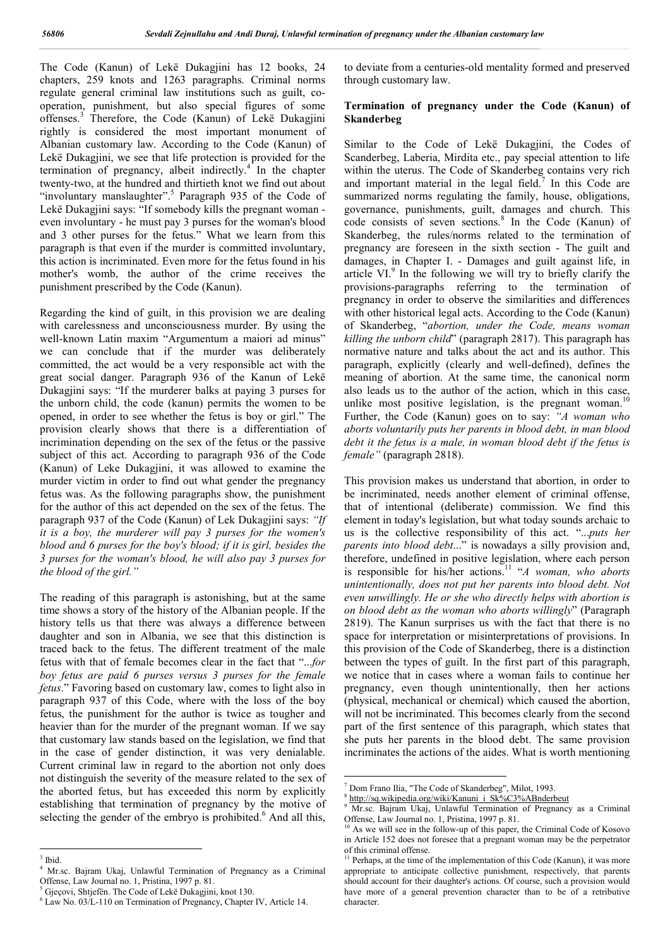The Code (Kanun) of Lekë Dukagjini has 12 books, 24 chapters, 259 knots and 1263 paragraphs. Criminal norms regulate general criminal law institutions such as guilt, cooperation, punishment, but also special figures of some offenses.<sup>3</sup> Therefore, the Code (Kanun) of Lekë Dukagjini rightly is considered the most important monument of Albanian customary law. According to the Code (Kanun) of Lekë Dukagjini, we see that life protection is provided for the termination of pregnancy, albeit indirectly. $4$  In the chapter twenty-two, at the hundred and thirtieth knot we find out about "involuntary manslaughter".<sup>5</sup> Paragraph 935 of the Code of Lekë Dukagjini says: "If somebody kills the pregnant woman even involuntary - he must pay 3 purses for the woman's blood and 3 other purses for the fetus." What we learn from this paragraph is that even if the murder is committed involuntary, this action is incriminated. Even more for the fetus found in his mother's womb, the author of the crime receives the punishment prescribed by the Code (Kanun).

Regarding the kind of guilt, in this provision we are dealing with carelessness and unconsciousness murder. By using the well-known Latin maxim "Argumentum a maiori ad minus" we can conclude that if the murder was deliberately committed, the act would be a very responsible act with the great social danger. Paragraph 936 of the Kanun of Lekë Dukagjini says: "If the murderer balks at paying 3 purses for the unborn child, the code (kanun) permits the women to be opened, in order to see whether the fetus is boy or girl." The provision clearly shows that there is a differentiation of incrimination depending on the sex of the fetus or the passive subject of this act. According to paragraph 936 of the Code (Kanun) of Leke Dukagjini, it was allowed to examine the murder victim in order to find out what gender the pregnancy fetus was. As the following paragraphs show, the punishment for the author of this act depended on the sex of the fetus. The paragraph 937 of the Code (Kanun) of Lek Dukagjini says: *"If it is a boy, the murderer will pay 3 purses for the women's blood and 6 purses for the boy's blood; if it is girl, besides the 3 purses for the woman's blood, he will also pay 3 purses for the blood of the girl."*

The reading of this paragraph is astonishing, but at the same time shows a story of the history of the Albanian people. If the history tells us that there was always a difference between daughter and son in Albania, we see that this distinction is traced back to the fetus. The different treatment of the male fetus with that of female becomes clear in the fact that "...*for boy fetus are paid 6 purses versus 3 purses for the female fetus*." Favoring based on customary law, comes to light also in paragraph 937 of this Code, where with the loss of the boy fetus, the punishment for the author is twice as tougher and heavier than for the murder of the pregnant woman. If we say that customary law stands based on the legislation, we find that in the case of gender distinction, it was very denialable. Current criminal law in regard to the abortion not only does not distinguish the severity of the measure related to the sex of the aborted fetus, but has exceeded this norm by explicitly establishing that termination of pregnancy by the motive of selecting the gender of the embryo is prohibited.<sup>6</sup> And all this,

to deviate from a centuries-old mentality formed and preserved through customary law.

#### **Termination of pregnancy under the Code (Kanun) of Skanderbeg**

Similar to the Code of Lekë Dukagjini, the Codes of Scanderbeg, Laberia, Mirdita etc., pay special attention to life within the uterus. The Code of Skanderbeg contains very rich and important material in the legal field.<sup>7</sup> In this Code are summarized norms regulating the family, house, obligations, governance, punishments, guilt, damages and church. This code consists of seven sections.<sup>8</sup> In the Code (Kanun) of Skanderbeg, the rules/norms related to the termination of pregnancy are foreseen in the sixth section - The guilt and damages, in Chapter I. - Damages and guilt against life, in article VI.<sup>9</sup> In the following we will try to briefly clarify the provisions-paragraphs referring to the termination of pregnancy in order to observe the similarities and differences with other historical legal acts. According to the Code (Kanun) of Skanderbeg, "*abortion, under the Code, means woman killing the unborn child*" (paragraph 2817). This paragraph has normative nature and talks about the act and its author. This paragraph, explicitly (clearly and well-defined), defines the meaning of abortion. At the same time, the canonical norm also leads us to the author of the action, which in this case, unlike most positive legislation, is the pregnant woman.<sup>10</sup> Further, the Code (Kanun) goes on to say: *"A woman who aborts voluntarily puts her parents in blood debt, in man blood debt it the fetus is a male, in woman blood debt if the fetus is female"* (paragraph 2818).

This provision makes us understand that abortion, in order to be incriminated, needs another element of criminal offense, that of intentional (deliberate) commission. We find this element in today's legislation, but what today sounds archaic to us is the collective responsibility of this act. "...*puts her parents into blood debt*..." is nowadays a silly provision and, therefore, undefined in positive legislation, where each person is responsible for his/her actions.<sup>11</sup> "*A woman, who aborts unintentionally, does not put her parents into blood debt. Not even unwillingly. He or she who directly helps with abortion is on blood debt as the woman who aborts willingly*" (Paragraph 2819). The Kanun surprises us with the fact that there is no space for interpretation or misinterpretations of provisions. In this provision of the Code of Skanderbeg, there is a distinction between the types of guilt. In the first part of this paragraph, we notice that in cases where a woman fails to continue her pregnancy, even though unintentionally, then her actions (physical, mechanical or chemical) which caused the abortion, will not be incriminated. This becomes clearly from the second part of the first sentence of this paragraph, which states that she puts her parents in the blood debt. The same provision incriminates the actions of the aides. What is worth mentioning

 $^3$  Ibid.

<sup>&</sup>lt;sup>4</sup> Mr.sc. Bajram Ukaj, Unlawful Termination of Pregnancy as a Criminal Offense, Law Journal no. 1, Pristina, 1997 p. 81.

<sup>5</sup> Gjeçovi, Shtjefën. The Code of Lekë Dukagjini, knot 130.

 $6$  Law No. 03/L-110 on Termination of Pregnancy, Chapter IV, Article 14.

 <sup>7</sup> Dom Frano Ilia, "The Code of Skanderbeg", Milot, 1993.

<sup>&</sup>lt;sup>8</sup> http://sq.wikipedia.org/wiki/Kanuni\_i\_Sk%C3%ABnderbeut

Mr.sc. Bajram Ukaj, Unlawful Termination of Pregnancy as a Criminal Offense, Law Journal no. 1, Pristina, 1997 p. 81.

As we will see in the follow-up of this paper, the Criminal Code of Kosovo in Article 152 does not foresee that a pregnant woman may be the perpetrator of this criminal offense.

<sup>11</sup> Perhaps, at the time of the implementation of this Code (Kanun), it was more appropriate to anticipate collective punishment, respectively, that parents should account for their daughter's actions. Of course, such a provision would have more of a general prevention character than to be of a retributive character.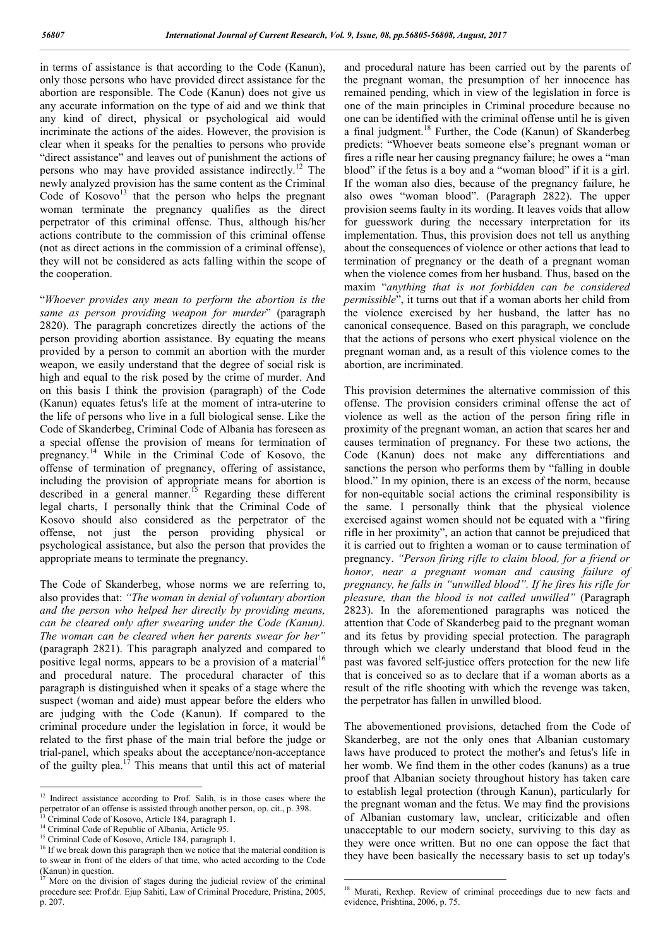in terms of assistance is that according to the Code (Kanun), only those persons who have provided direct assistance for the abortion are responsible. The Code (Kanun) does not give us any accurate information on the type of aid and we think that any kind of direct, physical or psychological aid would incriminate the actions of the aides. However, the provision is clear when it speaks for the penalties to persons who provide "direct assistance" and leaves out of punishment the actions of persons who may have provided assistance indirectly.<sup>12</sup> The newly analyzed provision has the same content as the Criminal Code of  $Kosovo<sup>13</sup>$  that the person who helps the pregnant woman terminate the pregnancy qualifies as the direct perpetrator of this criminal offense. Thus, although his/her actions contribute to the commission of this criminal offense (not as direct actions in the commission of a criminal offense), they will not be considered as acts falling within the scope of the cooperation.

"*Whoever provides any mean to perform the abortion is the same as person providing weapon for murder*" (paragraph 2820). The paragraph concretizes directly the actions of the person providing abortion assistance. By equating the means provided by a person to commit an abortion with the murder weapon, we easily understand that the degree of social risk is high and equal to the risk posed by the crime of murder. And on this basis I think the provision (paragraph) of the Code (Kanun) equates fetus's life at the moment of intra-uterine to the life of persons who live in a full biological sense. Like the Code of Skanderbeg, Criminal Code of Albania has foreseen as a special offense the provision of means for termination of pregnancy.<sup>14</sup> While in the Criminal Code of Kosovo, the offense of termination of pregnancy, offering of assistance, including the provision of appropriate means for abortion is described in a general manner.<sup>15</sup> Regarding these different legal charts, I personally think that the Criminal Code of Kosovo should also considered as the perpetrator of the offense, not just the person providing physical or psychological assistance, but also the person that provides the appropriate means to terminate the pregnancy.

The Code of Skanderbeg, whose norms we are referring to, also provides that: *"The woman in denial of voluntary abortion and the person who helped her directly by providing means, can be cleared only after swearing under the Code (Kanun). The woman can be cleared when her parents swear for her"* (paragraph 2821). This paragraph analyzed and compared to positive legal norms, appears to be a provision of a material<sup>16</sup> and procedural nature. The procedural character of this paragraph is distinguished when it speaks of a stage where the suspect (woman and aide) must appear before the elders who are judging with the Code (Kanun). If compared to the criminal procedure under the legislation in force, it would be related to the first phase of the main trial before the judge or trial-panel, which speaks about the acceptance/non-acceptance of the guilty plea.<sup>17</sup> This means that until this act of material

and procedural nature has been carried out by the parents of the pregnant woman, the presumption of her innocence has remained pending, which in view of the legislation in force is one of the main principles in Criminal procedure because no one can be identified with the criminal offense until he is given a final judgment.<sup>18</sup> Further, the Code (Kanun) of Skanderbeg predicts: "Whoever beats someone else's pregnant woman or fires a rifle near her causing pregnancy failure; he owes a "man blood" if the fetus is a boy and a "woman blood" if it is a girl. If the woman also dies, because of the pregnancy failure, he also owes "woman blood". (Paragraph 2822). The upper provision seems faulty in its wording. It leaves voids that allow for guesswork during the necessary interpretation for its implementation. Thus, this provision does not tell us anything about the consequences of violence or other actions that lead to termination of pregnancy or the death of a pregnant woman when the violence comes from her husband. Thus, based on the maxim "*anything that is not forbidden can be considered permissible*", it turns out that if a woman aborts her child from the violence exercised by her husband, the latter has no canonical consequence. Based on this paragraph, we conclude that the actions of persons who exert physical violence on the pregnant woman and, as a result of this violence comes to the abortion, are incriminated.

This provision determines the alternative commission of this offense. The provision considers criminal offense the act of violence as well as the action of the person firing rifle in proximity of the pregnant woman, an action that scares her and causes termination of pregnancy. For these two actions, the Code (Kanun) does not make any differentiations and sanctions the person who performs them by "falling in double blood." In my opinion, there is an excess of the norm, because for non-equitable social actions the criminal responsibility is the same. I personally think that the physical violence exercised against women should not be equated with a "firing rifle in her proximity", an action that cannot be prejudiced that it is carried out to frighten a woman or to cause termination of pregnancy. *"Person firing rifle to claim blood, for a friend or honor, near a pregnant woman and causing failure of pregnancy, he falls in "unwilled blood". If he fires his rifle for pleasure, than the blood is not called unwilled"* (Paragraph 2823). In the aforementioned paragraphs was noticed the attention that Code of Skanderbeg paid to the pregnant woman and its fetus by providing special protection. The paragraph through which we clearly understand that blood feud in the past was favored self-justice offers protection for the new life that is conceived so as to declare that if a woman aborts as a result of the rifle shooting with which the revenge was taken, the perpetrator has fallen in unwilled blood.

The abovementioned provisions, detached from the Code of Skanderbeg, are not the only ones that Albanian customary laws have produced to protect the mother's and fetus's life in her womb. We find them in the other codes (kanuns) as a true proof that Albanian society throughout history has taken care to establish legal protection (through Kanun), particularly for the pregnant woman and the fetus. We may find the provisions of Albanian customary law, unclear, criticizable and often unacceptable to our modern society, surviving to this day as they were once written. But no one can oppose the fact that they have been basically the necessary basis to set up today's

<sup>&</sup>lt;sup>12</sup> Indirect assistance according to Prof. Salih, is in those cases where the perpetrator of an offense is assisted through another person, op. cit., p. 398. Criminal Code of Kosovo, Article 184, paragraph 1.

<sup>14</sup> Criminal Code of Republic of Albania, Article 95.<br><sup>15</sup> Criminal Code of Kosovo, Article 184, paragraph 1.

<sup>&</sup>lt;sup>16</sup> If we break down this paragraph then we notice that the material condition is to swear in front of the elders of that time, who acted according to the Code (Kanun) in question.

More on the division of stages during the judicial review of the criminal procedure see: Prof.dr. Ejup Sahiti, Law of Criminal Procedure, Pristina, 2005, p. 207.

<sup>&</sup>lt;sup>18</sup> Murati, Rexhep. Review of criminal proceedings due to new facts and evidence, Prishtina, 2006, p. 75.